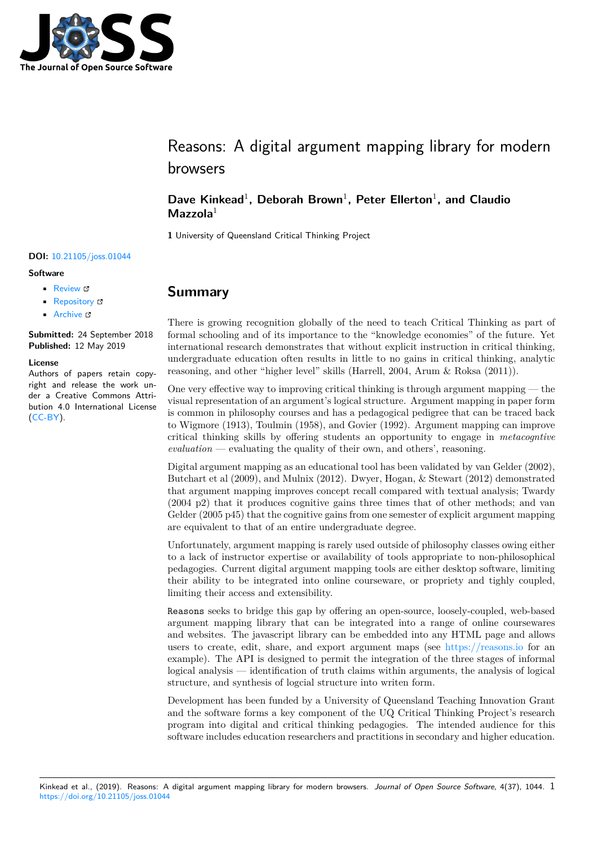

# Reasons: A digital argument mapping library for modern browsers

### Dave Kinkead<sup>1</sup>, Deborah Brown<sup>1</sup>, Peter Ellerton<sup>1</sup>, and Claudio Mazzola<sup>1</sup>

**1** University of Queensland Critical Thinking Project

#### **DOI:** 10.21105/joss.01044

#### **Software**

- Review C
- [Repository](https://doi.org/10.21105/joss.01044) &
- Archive

**Subm[itted:](https://github.com/openjournals/joss-reviews/issues/1044)** 24 September 2018 **Published:** [12 M](https://github.com/davekinkead/reasons)ay 2019

#### **Licen[se](https://doi.org/10.5281/zenodo.2766003)**

Authors of papers retain copyright and release the work under a Creative Commons Attribution 4.0 International License (CC-BY).

**Summary**

There is growing recognition globally of the need to teach Critical Thinking as part of formal schooling and of its importance to the "knowledge economies" of the future. Yet international research demonstrates that without explicit instruction in critical thinking, undergraduate education often results in little to no gains in critical thinking, analytic reasoning, and other "higher level" skills (Harrell, 2004, Arum & Roksa (2011)).

One very effective way to improving critical thinking is through argument mapping  $-$  the visual representation of an argument's logical structure. Argument mapping in paper form is common in philosophy courses and has a pedagogical pedigree that can be traced back to Wigmore (1913), Toulmin (1958), and Govier (1992). Argument mapping can improve critical thinking skills by offering students an opportunity to engage in *metacogntive*  $evaluation$  — evaluating the quality of their own, and others', reasoning.

Digital argument mapping as an educational tool has been validated by van Gelder (2002), Butchart et al (2009), and Mulnix (2012). Dwyer, Hogan, & Stewart (2012) demonstrated that argument mapping improves concept recall compared with textual analysis; Twardy (2004 p2) that it produces cognitive gains three times that of other methods; and van Gelder (2005 p45) that the cognitive gains from one semester of explicit argument mapping are equivalent to that of an entire undergraduate degree.

Unfortunately, argument mapping is rarely used outside of philosophy classes owing either to a lack of instructor expertise or availability of tools appropriate to non-philosophical pedagogies. Current digital argument mapping tools are either desktop software, limiting their ability to be integrated into online courseware, or propriety and tighly coupled, limiting their access and extensibility.

Reasons seeks to bridge this gap by offering an open-source, loosely-coupled, web-based argument mapping library that can be integrated into a range of online coursewares and websites. The javascript library can be embedded into any HTML page and allows users to create, edit, share, and export argument maps (see https://reasons.io for an example). The API is designed to permit the integration of the three stages of informal logical analysis — identification of truth claims within arguments, the analysis of logical structure, and synthesis of logcial structure into writen form.

Development has been funded by a University of Queensland T[eaching Innovation](https://reasons.io) Grant and the software forms a key component of the UQ Critical Thinking Project's research program into digital and critical thinking pedagogies. The intended audience for this software includes education researchers and practitions in secondary and higher education.